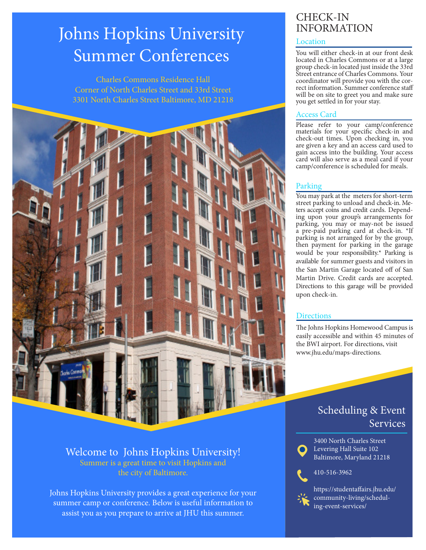## Johns Hopkins University Summer Conferences

Charles Commons Residence Hall Corner of North Charles Street and 33rd Street 3301 North Charles Street Baltimore, MD 21218



#### Welcome to Johns Hopkins University! Summer is a great time to visit Hopkins and the city of Baltimore.

Johns Hopkins University provides a great experience for your summer camp or conference. Below is useful information to assist you as you prepare to arrive at JHU this summer.

# CHECK-IN<br>INFORMATION

#### Location

You will either check-in at our front desk located in Charles Commons or at a large group check-in located just inside the 33rd Street entrance of Charles Commons. Your<br>coordinator will provide you with the correct information. Summer conference staff will be on site to greet you and make sure you get settled in for your stay.

#### Access Card

Please refer to your camp/conference materials for your specific check-in and check-out times. Upon checking in, you are given a key and an access card used to gain access into the building. Your access card will also serve as a meal card if your camp/conference is scheduled for meals.

### Parking

You may park at the meters for short-term street parking to unload and check-in. Meters accept coins and credit cards. Depending upon your group's arrangements for parking, you may or may-not be issued a pre-paid parking card at check-in. \*If parking is not arranged for by the group, then payment for parking in the garage would be your responsibility.\* Parking is available for summer guests and visitors in the San Martin Garage located off of San Martin Drive. Credit cards are accepted. Directions to this garage will be provided upon check-in.

#### **Directions**

The Johns Hopkins Homewood Campus is easily accessible and within 45 minutes of the BWI airport. For directions, visit www.jhu.edu/maps-directions.

### Scheduling & Event Services



3400 North Charles Street Levering Hall Suite 102 Baltimore, Maryland 21218

#### 410-516-3962



https://studentaffairs.jhu.edu/ community-living/scheduling-event-services/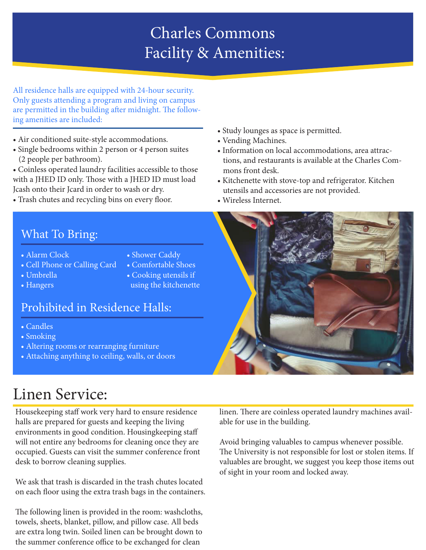## Charles Commons Facility & Amenities:

All residence halls are equipped with 24-hour security. Only guests attending a program and living on campus are permitted in the building after midnight. The following amenities are included:

- Air conditioned suite-style accommodations.
- Single bedrooms within 2 person or 4 person suites (2 people per bathroom).
- Coinless operated laundry facilities accessible to those with a JHED ID only. Those with a JHED ID must load Jcash onto their Jcard in order to wash or dry.
- Trash chutes and recycling bins on every floor.
- Study lounges as space is permitted.
- Vending Machines.
- Information on local accommodations, area attrac tions, and restaurants is available at the Charles Com mons front desk.
- Kitchenette with stove-top and refrigerator. Kitchen utensils and accessories are not provided.
- Wireless Internet.

### What To Bring:

- Alarm Clock
- Shower Caddy
- Cell Phone or Calling Card • Comfortable Shoes
- Umbrella
- Hangers

• Cooking utensils if using the kitchenette

### Prohibited in Residence Halls:

- Candles
- Smoking
- Altering rooms or rearranging furniture
- Attaching anything to ceiling, walls, or doors

## Linen Service:

Housekeeping staff work very hard to ensure residence halls are prepared for guests and keeping the living environments in good condition. Housingkeeping staff will not entire any bedrooms for cleaning once they are occupied. Guests can visit the summer conference front desk to borrow cleaning supplies.

We ask that trash is discarded in the trash chutes located on each floor using the extra trash bags in the containers.

The following linen is provided in the room: washcloths, towels, sheets, blanket, pillow, and pillow case. All beds are extra long twin. Soiled linen can be brought down to the summer conference office to be exchanged for clean



linen. There are coinless operated laundry machines available for use in the building.

Avoid bringing valuables to campus whenever possible. The University is not responsible for lost or stolen items. If valuables are brought, we suggest you keep those items out of sight in your room and locked away.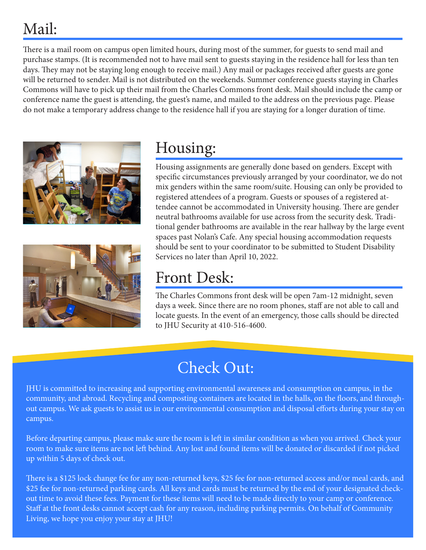## Mail:

There is a mail room on campus open limited hours, during most of the summer, for guests to send mail and purchase stamps. (It is recommended not to have mail sent to guests staying in the residence hall for less than ten days. They may not be staying long enough to receive mail.) Any mail or packages received after guests are gone will be returned to sender. Mail is not distributed on the weekends. Summer conference guests staying in Charles Commons will have to pick up their mail from the Charles Commons front desk. Mail should include the camp or conference name the guest is attending, the guest's name, and mailed to the address on the previous page. Please do not make a temporary address change to the residence hall if you are staying for a longer duration of time.





## Housing:

Housing assignments are generally done based on genders. Except with specific circumstances previously arranged by your coordinator, we do not mix genders within the same room/suite. Housing can only be provided to registered attendees of a program. Guests or spouses of a registered attendee cannot be accommodated in University housing. There are gender neutral bathrooms available for use across from the security desk. Traditional gender bathrooms are available in the rear hallway by the large event spaces past Nolan's Cafe. Any special housing accommodation requests should be sent to your coordinator to be submitted to Student Disability Services no later than April 10, 2022.

## Front Desk:

The Charles Commons front desk will be open 7am-12 midnight, seven days a week. Since there are no room phones, staff are not able to call and locate guests. In the event of an emergency, those calls should be directed to JHU Security at 410-516-4600.

## Check Out:

JHU is committed to increasing and supporting environmental awareness and consumption on campus, in the community, and abroad. Recycling and composting containers are located in the halls, on the floors, and throughout campus. We ask guests to assist us in our environmental consumption and disposal efforts during your stay on campus.

Before departing campus, please make sure the room is left in similar condition as when you arrived. Check your room to make sure items are not left behind. Any lost and found items will be donated or discarded if not picked up within 5 days of check out.

There is a \$125 lock change fee for any non-returned keys, \$25 fee for non-returned access and/or meal cards, and \$25 fee for non-returned parking cards. All keys and cards must be returned by the end of your designated checkout time to avoid these fees. Payment for these items will need to be made directly to your camp or conference. Staff at the front desks cannot accept cash for any reason, including parking permits. On behalf of Community Living, we hope you enjoy your stay at JHU!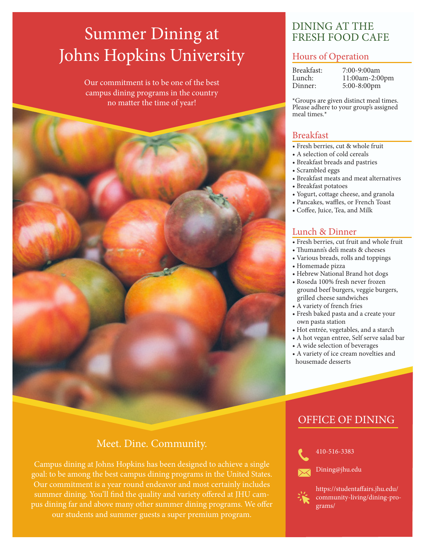## Summer Dining at Johns Hopkins University

Our commitment is to be one of the best campus dining programs in the country no matter the time of year!



### Meet. Dine. Community.

Campus dining at Johns Hopkins has been designed to achieve a single goal: to be among the best campus dining programs in the United States. Our commitment is a year round endeavor and most certainly includes summer dining. You'll find the quality and variety offered at JHU campus dining far and above many other summer dining programs. We offer our students and summer guests a super premium program.

### DINING AT THE FRESH FOOD CAFE

#### Hours of Operation

| Breakfast: | 7:00-9:00am    |
|------------|----------------|
| Lunch:     | 11:00am-2:00pm |
| Dinner:    | 5:00-8:00pm    |

\*Groups are given distinct meal times. Please adhere to your group's assigned meal times.\*

#### Breakfast

- Fresh berries, cut & whole fruit
- A selection of cold cereals
- Breakfast breads and pastries
- Scrambled eggs
- Breakfast meats and meat alternatives
- Breakfast potatoes
- Yogurt, cottage cheese, and granola
- Pancakes, waffles, or French Toast
- Coffee, Juice, Tea, and Milk

#### Lunch & Dinner

- Fresh berries, cut fruit and whole fruit
- Thumann's deli meats & cheeses
- Various breads, rolls and toppings
- Homemade pizza
- Hebrew National Brand hot dogs
- Roseda 100% fresh never frozen ground beef burgers, veggie burgers, grilled cheese sandwiches
- A variety of french fries
- Fresh baked pasta and a create your own pasta station
- Hot entrée, vegetables, and a starch
- A hot vegan entree, Self serve salad bar
- A wide selection of beverages
- A variety of ice cream novelties and housemade desserts

### OFFICE OF DINING



410-516-3383

Dining@jhu.edu



https://studentaffairs.jhu.edu/ community-living/dining-programs/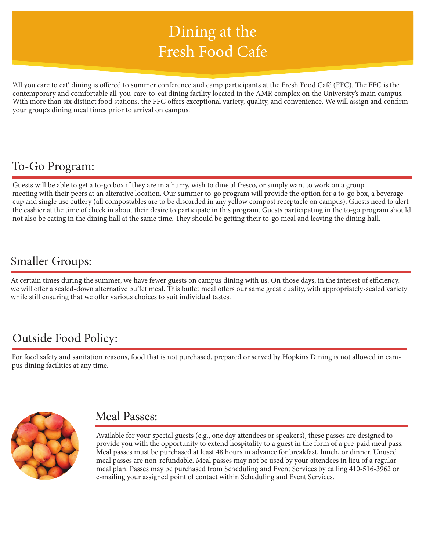## Dining at the Fresh Food Cafe

'All you care to eat' dining is offered to summer conference and camp participants at the Fresh Food Café (FFC). The FFC is the contemporary and comfortable all-you-care-to-eat dining facility located in the AMR complex on the University's main campus. With more than six distinct food stations, the FFC offers exceptional variety, quality, and convenience. We will assign and confirm your group's dining meal times prior to arrival on campus.

## To-Go Program:

Guests will be able to get a to-go box if they are in a hurry, wish to dine al fresco, or simply want to work on a group meeting with their peers at an alterative location. Our summer to-go program will provide the option for a to-go box, a beverage cup and single use cutlery (all compostables are to be discarded in any yellow compost receptacle on campus). Guests need to alert the cashier at the time of check in about their desire to participate in this program. Guests participating in the to-go program should not also be eating in the dining hall at the same time. They should be getting their to-go meal and leaving the dining hall.

## Smaller Groups:

At certain times during the summer, we have fewer guests on campus dining with us. On those days, in the interest of efficiency, we will offer a scaled-down alternative buffet meal. This buffet meal offers our same great quality, with appropriately-scaled variety while still ensuring that we offer various choices to suit individual tastes.

## Outside Food Policy:

For food safety and sanitation reasons, food that is not purchased, prepared or served by Hopkins Dining is not allowed in campus dining facilities at any time.



### Meal Passes:

Available for your special guests (e.g., one day attendees or speakers), these passes are designed to provide you with the opportunity to extend hospitality to a guest in the form of a pre-paid meal pass. Meal passes must be purchased at least 48 hours in advance for breakfast, lunch, or dinner. Unused meal passes are non-refundable. Meal passes may not be used by your attendees in lieu of a regular meal plan. Passes may be purchased from Scheduling and Event Services by calling 410-516-3962 or e-mailing your assigned point of contact within Scheduling and Event Services.